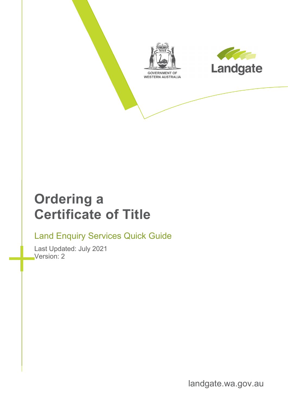



## **Ordering a Certificate of Title**

#### Land Enquiry Services Quick Guide

Last Updated: July 2021 Version: 2

landgate.wa.gov.au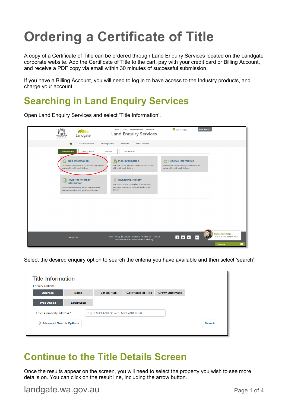# **Ordering a Certificate of Title**

A copy of a Certificate of Title can be ordered through Land Enquiry Services located on the Landgate corporate website. Add the Certificate of Title to the cart, pay with your credit card or Billing Account, and receive a PDF copy via email within 30 minutes of successful submission.

If you have a Billing Account, you will need to log in to have access to the Industry products, and charge your account.

#### **Searching in Land Enquiry Services**

Open Land Enquiry Services and select 'Title Information'.

| Landgate<br>GOVERNMENT OF<br>WESTERN AUSTRALIA                                                                                                                              | <b>Helpful Resources</b><br><b>Contact Us</b><br><b>FAQs</b><br>About<br><b>Land Enquiry Services</b>                                            | $\frac{1}{2}$ Cart is empty<br>Mary Smith                                                                           |
|-----------------------------------------------------------------------------------------------------------------------------------------------------------------------------|--------------------------------------------------------------------------------------------------------------------------------------------------|---------------------------------------------------------------------------------------------------------------------|
| ₳<br><b>Land Information</b>                                                                                                                                                | <b>Dealing Status</b><br><b>Other Services</b><br>Products                                                                                       |                                                                                                                     |
| <b>Land Information</b><br><b>Dealing Status</b><br><b>Title Information</b><br>₩<br>Find owner, title details and associated documents<br>online with quick email delivery | <b>Other Services</b><br>Products<br>Plan Information<br>Find Plan details and associated documents online<br>with quick email delivery          | $\sqrt{2}$ Reserve Information<br>Find reserve details and associated documents<br>online with quick email delivery |
| 目 Power of Attorney<br><b>Information</b><br>Find Power of Attorney details and associated<br>documents online with quick email delivery                                    | <b>Ownership History</b><br>圓<br>Find historic title and cancelled title details and<br>associated documents online with quick email<br>delivery |                                                                                                                     |
|                                                                                                                                                                             |                                                                                                                                                  |                                                                                                                     |
|                                                                                                                                                                             |                                                                                                                                                  |                                                                                                                     |
| wa.gov.au                                                                                                                                                                   | Home   Privacy   Copyright   Disclaimer   Contact Us   Feedback<br>Western Australian Land Information Authority                                 | Do you need help?<br>Talk to a real person now!<br>F V F<br>Χ<br>٠.,<br><b>Chat now</b>                             |

Select the desired enquiry option to search the criteria you have available and then select 'search'.

| <b>Title Information</b>                 |                   |                                     |                             |                        |               |
|------------------------------------------|-------------------|-------------------------------------|-----------------------------|------------------------|---------------|
| <b>Enquiry Options</b><br><b>Address</b> | <b>Name</b>       | <b>Lot on Plan</b>                  | <b>Certificate of Title</b> | <b>Crown Allotment</b> |               |
| <b>Type Ahead</b>                        | <b>Structured</b> |                                     |                             |                        |               |
| Enter a property address *               |                   | e.g. 1 MIDLAND Square, MIDLAND 6056 |                             |                        |               |
| Advanced Search Options                  |                   |                                     |                             |                        | <b>Search</b> |

#### **Continue to the Title Details Screen**

Once the results appear on the screen, you will need to select the property you wish to see more details on. You can click on the result line, including the arrow button.

#### landgate.wa.gov.au entry and the page 1 of 4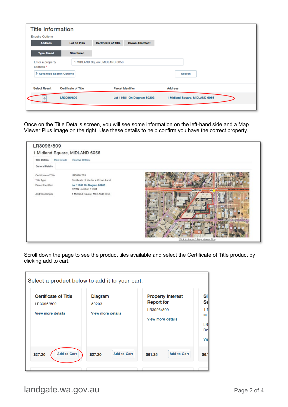| <b>Title Information</b>      |                             |                                |                            |                                |
|-------------------------------|-----------------------------|--------------------------------|----------------------------|--------------------------------|
| <b>Enquiry Options</b>        |                             |                                |                            |                                |
| <b>Address</b>                | <b>Lot on Plan</b>          | <b>Certificate of Title</b>    | <b>Crown Allotment</b>     |                                |
| <b>Type Ahead</b>             | <b>Structured</b>           |                                |                            |                                |
| Enter a property<br>address * |                             | 1 MIDLAND Square, MIDLAND 6056 |                            |                                |
| > Advanced Search Options     |                             |                                |                            | Search                         |
| <b>Select Result</b>          | <b>Certificate of Title</b> |                                | <b>Parcel Identifier</b>   | <b>Address</b>                 |
|                               | LR3096/809                  |                                | Lot 11681 On Diagram 80203 | 1 Midland Square, MIDLAND 6056 |
|                               |                             |                                |                            |                                |

Once on the Title Details screen, you will see some information on the left-hand side and a Map Viewer Plus image on the right. Use these details to help confirm you have the correct property.



Scroll down the page to see the product tiles available and select the Certificate of Title product by clicking add to cart.

| <b>Certificate of Title</b> | <b>Diagram</b>           | <b>Property Interest</b> |  |
|-----------------------------|--------------------------|--------------------------|--|
| LR3096/809                  | 80203                    | <b>Report for</b>        |  |
| <b>View more details</b>    | <b>View more details</b> | LR3096/809               |  |
|                             |                          | View more details        |  |
|                             |                          |                          |  |
|                             |                          |                          |  |
|                             |                          |                          |  |
|                             |                          |                          |  |

landgate.wa.gov.au entry and the page 2 of 4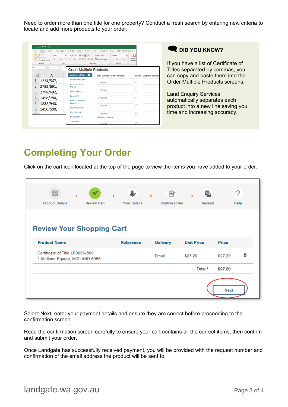Need to order more than one title for one property? Conduct a fresh search by entering new criteria to locate and add more products to your order.

|                | AutoSave (O) 日 り () · ↓                                                                                                                                                                                                                                                                                                                                                                                                                                                                                                                                                                                                                                                                                                                                                                                                                                       |                                          |                                           |                           |  |  |  |
|----------------|---------------------------------------------------------------------------------------------------------------------------------------------------------------------------------------------------------------------------------------------------------------------------------------------------------------------------------------------------------------------------------------------------------------------------------------------------------------------------------------------------------------------------------------------------------------------------------------------------------------------------------------------------------------------------------------------------------------------------------------------------------------------------------------------------------------------------------------------------------------|------------------------------------------|-------------------------------------------|---------------------------|--|--|--|
| File<br>Pacte  | Review View<br>Developer<br>Page Layout<br>Formulas<br>Data<br>Help<br><b>HPE Content Manager</b><br>Home<br>Insert<br>Calibri $\mathbf{v}$ $\begin{vmatrix} 11 & \mathbf{v} & \mathbf{A}^{\mathbf{v}} & \mathbf{A}^{\mathbf{v}} \end{vmatrix}$ $\equiv \mathbf{v}$ $\Rightarrow$ $\mathbf{v}$ $\Rightarrow$ $\mathbf{v}$ $\Rightarrow$ $\mathbf{v}$ $\Rightarrow$ $\mathbf{v}$ $\Rightarrow$ $\mathbf{v}$ $\Rightarrow$ $\mathbf{v}$ $\Rightarrow$ $\mathbf{v}$ $\Rightarrow$ $\mathbf{v}$ $\Rightarrow$ $\mathbf{v}$ $\Rightarrow$ $\mathbf{v}$<br>$X$ Cut<br>π.,<br>Th Copy -<br>Conditio<br>B I U - ⊞ -   소 - A -   플 플 플   클 프   圓 Merge & Center -   \$ - % 9   영 용<br>Format Painter<br>Formattin<br>$\overline{r_{\mathbf{z}}}$<br>Clipboard<br>Font<br>Alignment<br>$\overline{c_8}$<br>$\sim$ 6.000 $\sim$ 6.000 $\sim$<br>Number<br>$\mathbb{F}_2$ |                                          |                                           |                           |  |  |  |
| A1             | $-1$<br>$\times$ $\checkmark$ fx<br>12 <sup>2</sup><br><b>Order Multiple Products</b>                                                                                                                                                                                                                                                                                                                                                                                                                                                                                                                                                                                                                                                                                                                                                                         |                                          |                                           |                           |  |  |  |
|                | А                                                                                                                                                                                                                                                                                                                                                                                                                                                                                                                                                                                                                                                                                                                                                                                                                                                             | $\bullet$<br><b>Certificate of Title</b> | <b>Enter Certificate of Title Numbers</b> | Sketch Customer Reference |  |  |  |
| 1              | 1234/567,                                                                                                                                                                                                                                                                                                                                                                                                                                                                                                                                                                                                                                                                                                                                                                                                                                                     | Plan or Strata Plan                      | 1234/567                                  |                           |  |  |  |
| $\overline{2}$ | 2789/691,                                                                                                                                                                                                                                                                                                                                                                                                                                                                                                                                                                                                                                                                                                                                                                                                                                                     | <b>Property Interest</b><br>Report       |                                           |                           |  |  |  |
| 3              | 2798/692,                                                                                                                                                                                                                                                                                                                                                                                                                                                                                                                                                                                                                                                                                                                                                                                                                                                     | <b>Check Search</b>                      | 2789/691                                  |                           |  |  |  |
| 4              | 1458/780,                                                                                                                                                                                                                                                                                                                                                                                                                                                                                                                                                                                                                                                                                                                                                                                                                                                     | Document                                 | 2798/692                                  |                           |  |  |  |
| 5              | 1282/940,                                                                                                                                                                                                                                                                                                                                                                                                                                                                                                                                                                                                                                                                                                                                                                                                                                                     | Power of Attorney<br><b>Document</b>     |                                           |                           |  |  |  |
| 6              | 1450/500,                                                                                                                                                                                                                                                                                                                                                                                                                                                                                                                                                                                                                                                                                                                                                                                                                                                     | <b>Year Document</b>                     | 1458/780                                  |                           |  |  |  |
|                |                                                                                                                                                                                                                                                                                                                                                                                                                                                                                                                                                                                                                                                                                                                                                                                                                                                               | <b>Field Record</b>                      | 1282/940                                  |                           |  |  |  |
|                |                                                                                                                                                                                                                                                                                                                                                                                                                                                                                                                                                                                                                                                                                                                                                                                                                                                               | <b>Memorial Book</b>                     | (Subject to Dealing)                      |                           |  |  |  |
|                |                                                                                                                                                                                                                                                                                                                                                                                                                                                                                                                                                                                                                                                                                                                                                                                                                                                               | <b>Title Watch</b>                       | 1450/500                                  |                           |  |  |  |

**Q** DID YOU KNOW?

If you have a list of Certificate of Titles separated by commas, you can copy and paste them into the Order Multiple Products screens.

Land Enquiry Services automatically separates each product into a new line saving you time and increasing accuracy.

### **Completing Your Order**

Click on the cart icon located at the top of the page to view the items you have added to your order.

| <b>Product Details</b>                                            | Ä,<br><b>Review Cart</b> | ь<br><b>Your Details</b> | 囪<br>ь<br>Confirm Order | l,<br>Receipt     | Help        |   |
|-------------------------------------------------------------------|--------------------------|--------------------------|-------------------------|-------------------|-------------|---|
| <b>Review Your Shopping Cart</b><br><b>Product Name</b>           |                          | Reference                | <b>Delivery</b>         | <b>Unit Price</b> | Price       |   |
| Certificate of Title LR3096/809<br>1 Midland Square, MIDLAND 6056 |                          |                          | Email                   | \$27.20           | \$27.20     | € |
|                                                                   |                          |                          |                         | Total *           | \$27.20     |   |
|                                                                   |                          |                          |                         |                   | <b>Next</b> |   |

Select Next, enter your payment details and ensure they are correct before proceeding to the confirmation screen.

Read the confirmation screen carefully to ensure your cart contains all the correct items, then confirm and submit your order.

Once Landgate has successfully received payment, you will be provided with the request number and confirmation of the email address the product will be sent to.